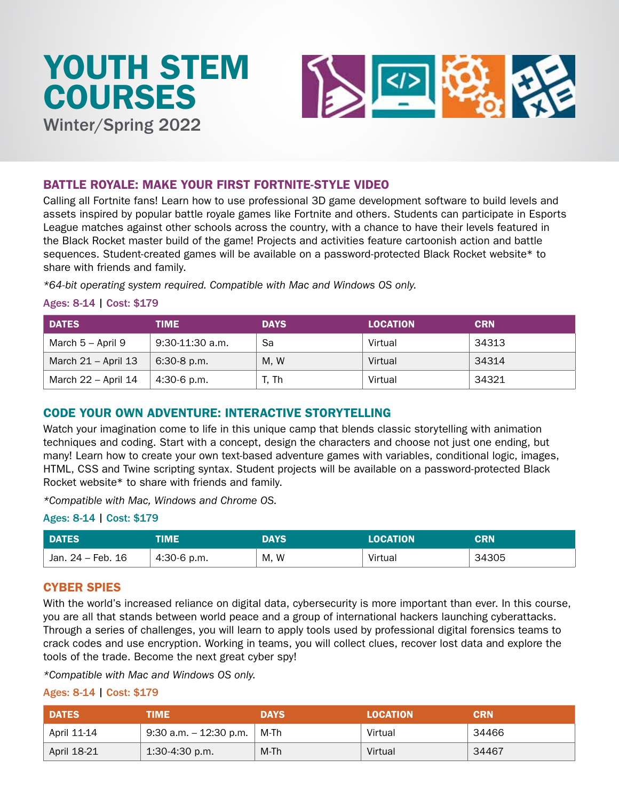

# BATTLE ROYALE: MAKE YOUR FIRST FORTNITE-STYLE VIDEO

Calling all Fortnite fans! Learn how to use professional 3D game development software to build levels and assets inspired by popular battle royale games like Fortnite and others. Students can participate in Esports League matches against other schools across the country, with a chance to have their levels featured in the Black Rocket master build of the game! Projects and activities feature cartoonish action and battle sequences. Student-created games will be available on a password-protected Black Rocket website\* to share with friends and family.

*\*64-bit operating system required. Compatible with Mac and Windows OS only.*

#### Ages: 8-14 | Cost: \$179

| <b>DATES</b>          | TIME              | <b>DAYS</b> | <b>LOCATION</b> | <b>CRN</b> |
|-----------------------|-------------------|-------------|-----------------|------------|
| March 5 – April 9     | $9:30-11:30$ a.m. | Sa          | Virtual         | 34313      |
| March $21 -$ April 13 | 6:30-8 p.m.       | M.W         | Virtual         | 34314      |
| March 22 - April 14   | 4:30-6 p.m.       | T. Th       | Virtual         | 34321      |

# CODE YOUR OWN ADVENTURE: INTERACTIVE STORYTELLING

Watch your imagination come to life in this unique camp that blends classic storytelling with animation techniques and coding. Start with a concept, design the characters and choose not just one ending, but many! Learn how to create your own text-based adventure games with variables, conditional logic, images, HTML, CSS and Twine scripting syntax. Student projects will be available on a password-protected Black Rocket website\* to share with friends and family.

*\*Compatible with Mac, Windows and Chrome OS.*

#### Ages: 8-14 | Cost: \$179

| <b>DATES</b>      | TIME          | <b>DAYS</b> | <b>LOCATION</b> | <b>CRN</b> |
|-------------------|---------------|-------------|-----------------|------------|
| Jan. 24 – Feb. 16 | $4:30-6$ p.m. | M, W        | Virtual         | 34305      |

## CYBER SPIES

With the world's increased reliance on digital data, cybersecurity is more important than ever. In this course, you are all that stands between world peace and a group of international hackers launching cyberattacks. Through a series of challenges, you will learn to apply tools used by professional digital forensics teams to crack codes and use encryption. Working in teams, you will collect clues, recover lost data and explore the tools of the trade. Become the next great cyber spy!

*\*Compatible with Mac and Windows OS only.*

| <b>DATES</b> | TIME                   | <b>DAYS</b> | <b>LOCATION</b> | <b>CRN</b> |
|--------------|------------------------|-------------|-----------------|------------|
| April 11-14  | 9:30 a.m. - 12:30 p.m. | ∣M-Th       | Virtual         | 34466      |
| April 18-21  | $1:30-4:30$ p.m.       | M-Th        | Virtual         | 34467      |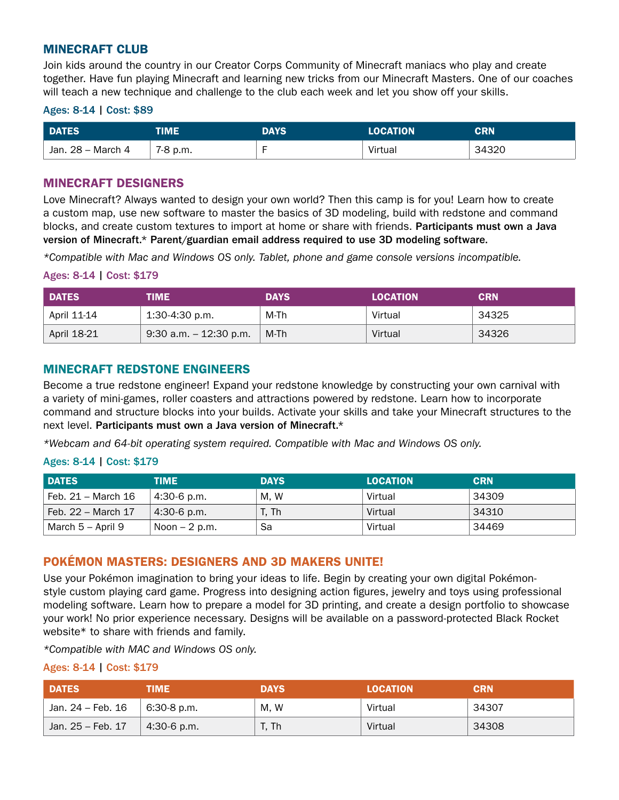## MINECRAFT CLUB

Join kids around the country in our Creator Corps Community of Minecraft maniacs who play and create together. Have fun playing Minecraft and learning new tricks from our Minecraft Masters. One of our coaches will teach a new technique and challenge to the club each week and let you show off your skills.

#### Ages: 8-14 | Cost: \$89

| <b>DATES</b>      | TIME     | DAYS | <b>LOCATION</b> | CRN   |
|-------------------|----------|------|-----------------|-------|
| Jan. 28 – March 4 | 7-8 p.m. |      | Virtual         | 34320 |

# MINECRAFT DESIGNERS

Love Minecraft? Always wanted to design your own world? Then this camp is for you! Learn how to create a custom map, use new software to master the basics of 3D modeling, build with redstone and command blocks, and create custom textures to import at home or share with friends. Participants must own a Java version of Minecraft.\* Parent/guardian email address required to use 3D modeling software.

*\*Compatible with Mac and Windows OS only. Tablet, phone and game console versions incompatible.*

#### Ages: 8-14 | Cost: \$179

| <b>DATES</b> | TIME                      | <b>DAYS</b> | <b>LOCATION</b> | <b>CRN</b> |
|--------------|---------------------------|-------------|-----------------|------------|
| April 11-14  | $1:30-4:30$ p.m.          | M-Th        | Virtual         | 34325      |
| April 18-21  | $9:30$ a.m. $-12:30$ p.m. | M-Th        | Virtual         | 34326      |

# MINECRAFT REDSTONE ENGINEERS

Become a true redstone engineer! Expand your redstone knowledge by constructing your own carnival with a variety of mini-games, roller coasters and attractions powered by redstone. Learn how to incorporate command and structure blocks into your builds. Activate your skills and take your Minecraft structures to the next level. Participants must own a Java version of Minecraft.\*

*\*Webcam and 64-bit operating system required. Compatible with Mac and Windows OS only.*

### Ages: 8-14 | Cost: \$179

| <b>DATES</b>         | TIME           | <b>DAYS</b> | <b>LOCATION</b> | <b>CRN</b> |
|----------------------|----------------|-------------|-----------------|------------|
| ⊦ Feb. 21 – March 16 | $4:30-6$ p.m.  | M.W         | Virtual         | 34309      |
| Feb. 22 – March 17   | $4:30-6$ p.m.  | T. Th       | Virtual         | 34310      |
| March 5 – April 9    | Noon $-2$ p.m. | Sa          | Virtual         | 34469      |

## POKÉMON MASTERS: DESIGNERS AND 3D MAKERS UNITE!

Use your Pokémon imagination to bring your ideas to life. Begin by creating your own digital Pokémonstyle custom playing card game. Progress into designing action figures, jewelry and toys using professional modeling software. Learn how to prepare a model for 3D printing, and create a design portfolio to showcase your work! No prior experience necessary. Designs will be available on a password-protected Black Rocket website\* to share with friends and family.

*\*Compatible with MAC and Windows OS only.*

| <b>DATES</b>      | TIME        | <b>DAYS</b> | <b>LOCATION</b> | <b>CRN</b> |
|-------------------|-------------|-------------|-----------------|------------|
| Jan. 24 – Feb. 16 | 6:30-8 p.m. | M, W        | Virtual         | 34307      |
| Jan. 25 – Feb. 17 | 4:30-6 p.m. | T. Th       | Virtual         | 34308      |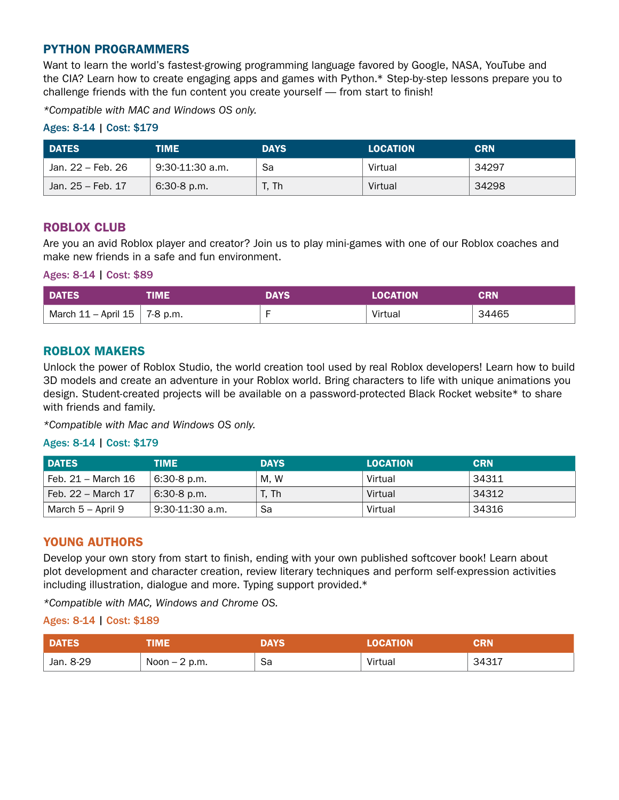# PYTHON PROGRAMMERS

Want to learn the world's fastest-growing programming language favored by Google, NASA, YouTube and the CIA? Learn how to create engaging apps and games with Python.\* Step-by-step lessons prepare you to challenge friends with the fun content you create yourself — from start to finish!

*\*Compatible with MAC and Windows OS only.*

### Ages: 8-14 | Cost: \$179

| <b>DATES</b>      | TIME            | <b>DAYS</b> | <b>LOCATION</b> | <b>CRN</b> |
|-------------------|-----------------|-------------|-----------------|------------|
| Jan. 22 – Feb. 26 | 9:30-11:30 a.m. | Sa          | Virtual         | 34297      |
| Jan. 25 – Feb. 17 | $6:30-8$ p.m.   | T. Th       | Virtual         | 34298      |

## ROBLOX CLUB

Are you an avid Roblox player and creator? Join us to play mini-games with one of our Roblox coaches and make new friends in a safe and fun environment.

Ages: 8-14 | Cost: \$89

| DATES <sup>1</sup>                | <b>IME</b>          | <b>DAYS</b> | <b>LOCATION</b> | <b>CRN</b> |
|-----------------------------------|---------------------|-------------|-----------------|------------|
| $\mid$ March 11 – April 15 $\mid$ | $^{\circ}$ 7-8 p.m. |             | Virtual         | 34465      |

### ROBLOX MAKERS

Unlock the power of Roblox Studio, the world creation tool used by real Roblox developers! Learn how to build 3D models and create an adventure in your Roblox world. Bring characters to life with unique animations you design. Student-created projects will be available on a password-protected Black Rocket website\* to share with friends and family.

*\*Compatible with Mac and Windows OS only.*

### Ages: 8-14 | Cost: \$179

| <b>DATES</b>       | TIME              | <b>DAYS</b> | <b>LOCATION</b> | <b>CRN</b> |
|--------------------|-------------------|-------------|-----------------|------------|
| Feb. 21 – March 16 | $6:30-8$ p.m.     | M. W        | Virtual         | 34311      |
| Feb. 22 – March 17 | $6:30-8$ p.m.     | T. Th       | Virtual         | 34312      |
| March 5 – April 9  | $9:30-11:30$ a.m. | Sa          | Virtual         | 34316      |

## YOUNG AUTHORS

Develop your own story from start to finish, ending with your own published softcover book! Learn about plot development and character creation, review literary techniques and perform self-expression activities including illustration, dialogue and more. Typing support provided.\*

*\*Compatible with MAC, Windows and Chrome OS.*

| <b>DATES</b> | TIME           | <b>DAYS</b> | OCATION | <b>CRN</b> |
|--------------|----------------|-------------|---------|------------|
| Jan. 8-29    | Noon $-2$ p.m. | Sa<br>$ -$  | Virtual | 34317      |